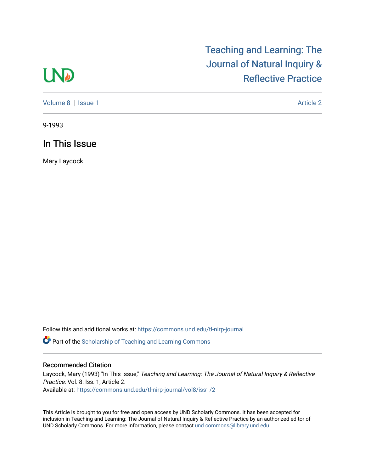# **LND**

## [Teaching and Learning: The](https://commons.und.edu/tl-nirp-journal)  [Journal of Natural Inquiry &](https://commons.und.edu/tl-nirp-journal)  [Reflective Practice](https://commons.und.edu/tl-nirp-journal)

[Volume 8](https://commons.und.edu/tl-nirp-journal/vol8) | [Issue 1](https://commons.und.edu/tl-nirp-journal/vol8/iss1) Article 2

9-1993

## In This Issue

Mary Laycock

Follow this and additional works at: [https://commons.und.edu/tl-nirp-journal](https://commons.und.edu/tl-nirp-journal?utm_source=commons.und.edu%2Ftl-nirp-journal%2Fvol8%2Fiss1%2F2&utm_medium=PDF&utm_campaign=PDFCoverPages) 

**P** Part of the Scholarship of Teaching and Learning Commons

### Recommended Citation

Laycock, Mary (1993) "In This Issue," Teaching and Learning: The Journal of Natural Inquiry & Reflective Practice: Vol. 8: Iss. 1, Article 2. Available at: [https://commons.und.edu/tl-nirp-journal/vol8/iss1/2](https://commons.und.edu/tl-nirp-journal/vol8/iss1/2?utm_source=commons.und.edu%2Ftl-nirp-journal%2Fvol8%2Fiss1%2F2&utm_medium=PDF&utm_campaign=PDFCoverPages)

This Article is brought to you for free and open access by UND Scholarly Commons. It has been accepted for inclusion in Teaching and Learning: The Journal of Natural Inquiry & Reflective Practice by an authorized editor of UND Scholarly Commons. For more information, please contact [und.commons@library.und.edu.](mailto:und.commons@library.und.edu)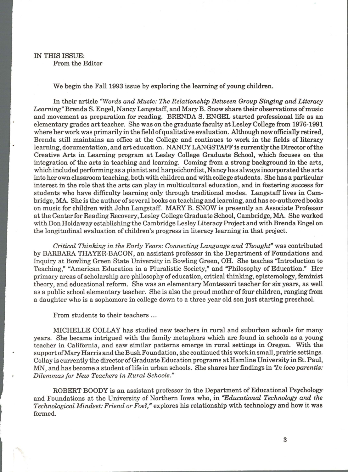#### IN THIS ISSUE: From the Editor

We begin the Fall 1993 issue by exploring the learning of young children.

In their article *"Words and Music: The Relationship Between Group Singing and Literacy Learning"* Brenda S. Engel, Nancy Langstaff, and Mary B. Snow share their observations of music and movement as preparation for reading. BRENDA S. ENGEL started professional life as an elementary grades art teacher. She was on the graduate faculty at Lesley College from 1976-1991 where her work was primarily in the field of qualitative evaluation. Although now officially retired, Brenda still maintains an office at the College and continues to work in the fields of literacy learning, documentation, and art education. NANCY LANGSTAFF is currently the Director of the Creative Arts in Learning program at Lesley College Graduate School, which focuses on the integration of the arts in teaching and learning. Coming from a strong background in the arts, which included performing as a pianist and harpsichordist, Nancy has always incorporated the arts into her own classroom teaching, both with children and with college students. She has a particular interest in the role that the arts can play in multicultural education, and in fostering success for students who have difficulty learning only through traditional modes. Langstaff lives in Cambridge, MA. She is the author of several books on teaching and learning, and has co-authored books on music for children with John Langstaff. MARY B. SNOW is presently an Associate Professor at the Center for Reading Recovery, Lesley College Graduate School, Cambridge, MA. She worked with Don Holda way establishing the Cambridge Lesley Literacy Project and with Brenda Engel on the longitudinal evaluation of children's progress in literacy learning in that project.

*Critical Thinking in the Early Years: Connecting Language and Thought"* was contributed by BARBARA THAYER-BACON, an assistant professor in the Department of Foundations and Inquiry at Bowling Green State University in Bowling Green, OH. She teaches "Introduction to Teaching," "American Education in a Pluralistic Society," and "Philosophy of Education." Her primary areas of scholarship are philosophy of education, critical thinking, epistemology, feminist theory, and educational reform. She was an elementary Montessori teacher for six years, as well as a public school elementary teacher. She is also the proud mother of four children, ranging from a daughter who is a sophomore in college down to a three year old son just starting preschool.

From students to their teachers ...

**Indian Report Follows** 

MICHELLE COLLAY has studied new teachers in rural and suburban schools for many years. She became intrigued with the family metaphors which are found in schools as a young teacher in California, and saw similar patterns emerge in rural settings in Oregon. With the support of Mary Harris and the Bush Foundation, she continued this work in small, prairie settings. Collay is currently the director of Graduate Education programs at Hamline University in St. Paul, MN, and has become a student of life in urban schools. She shares her findings in *'In loco parentis: Dilemmas for New Teachers in Rural Schools."* 

ROBERT BOODY is an assistant professor in the Department of Educational Psychology and Foundations at the University of Northern Iowa who, in *"Educational Technology and the Technological Mindset: Friend or Foe?,"* explores his relationship with technology and how it was formed.